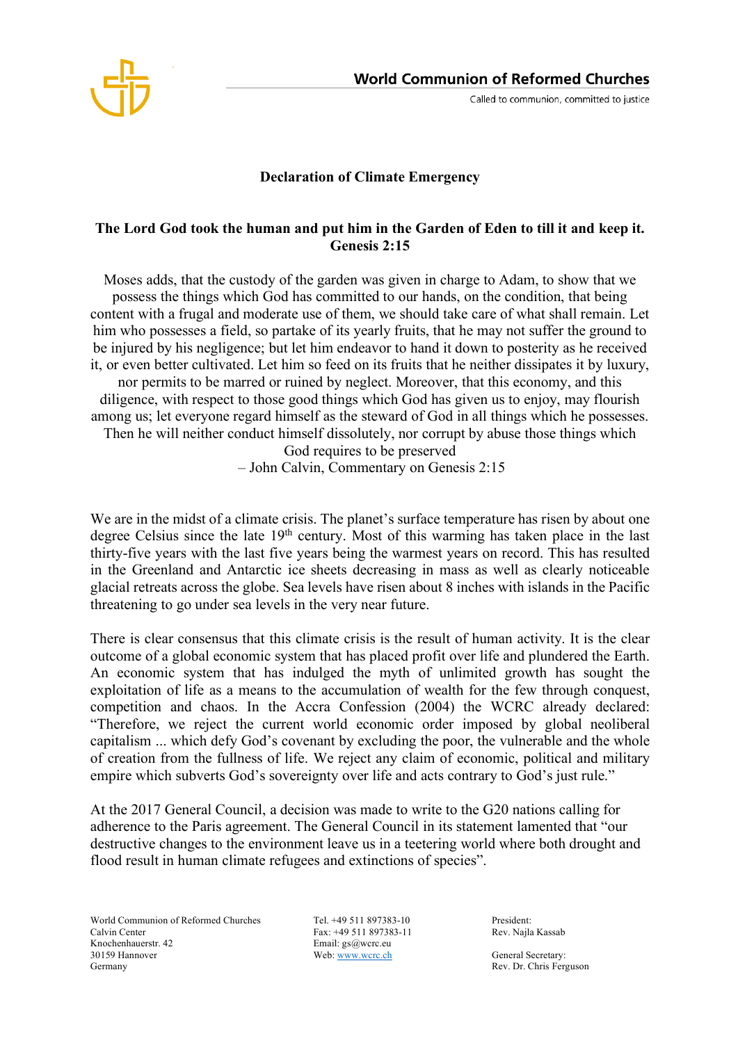

Called to communion, committed to justice

## **Declaration of Climate Emergency**

## **The Lord God took the human and put him in the Garden of Eden to till it and keep it. Genesis 2:15**

Moses adds, that the custody of the garden was given in charge to Adam, to show that we possess the things which God has committed to our hands, on the condition, that being content with a frugal and moderate use of them, we should take care of what shall remain. Let him who possesses a field, so partake of its yearly fruits, that he may not suffer the ground to be injured by his negligence; but let him endeavor to hand it down to posterity as he received it, or even better cultivated. Let him so feed on its fruits that he neither dissipates it by luxury, nor permits to be marred or ruined by neglect. Moreover, that this economy, and this diligence, with respect to those good things which God has given us to enjoy, may flourish among us; let everyone regard himself as the steward of God in all things which he possesses. Then he will neither conduct himself dissolutely, nor corrupt by abuse those things which God requires to be preserved

– John Calvin, Commentary on Genesis 2:15

We are in the midst of a climate crisis. The planet's surface temperature has risen by about one degree Celsius since the late 19<sup>th</sup> century. Most of this warming has taken place in the last thirty-five years with the last five years being the warmest years on record. This has resulted in the Greenland and Antarctic ice sheets decreasing in mass as well as clearly noticeable glacial retreats across the globe. Sea levels have risen about 8 inches with islands in the Pacific threatening to go under sea levels in the very near future.

There is clear consensus that this climate crisis is the result of human activity. It is the clear outcome of a global economic system that has placed profit over life and plundered the Earth. An economic system that has indulged the myth of unlimited growth has sought the exploitation of life as a means to the accumulation of wealth for the few through conquest, competition and chaos. In the Accra Confession (2004) the WCRC already declared: "Therefore, we reject the current world economic order imposed by global neoliberal capitalism ... which defy God's covenant by excluding the poor, the vulnerable and the whole of creation from the fullness of life. We reject any claim of economic, political and military empire which subverts God's sovereignty over life and acts contrary to God's just rule."

At the 2017 General Council, a decision was made to write to the G20 nations calling for adherence to the Paris agreement. The General Council in its statement lamented that "our destructive changes to the environment leave us in a teetering world where both drought and flood result in human climate refugees and extinctions of species".

World Communion of Reformed Churches Tel. +49 511 897383-10 President:<br>Calvin Center Pax: +49 511 897383-11 Rev. Najla Kassab Knochenhauerstr. 42 Email: gs@wcrc.eu 30159 Hannover Web: www.wcrc.ch General Secretary: Germany Rev. Dr. Chris Ferguson

Fax: +49 511 897383-11